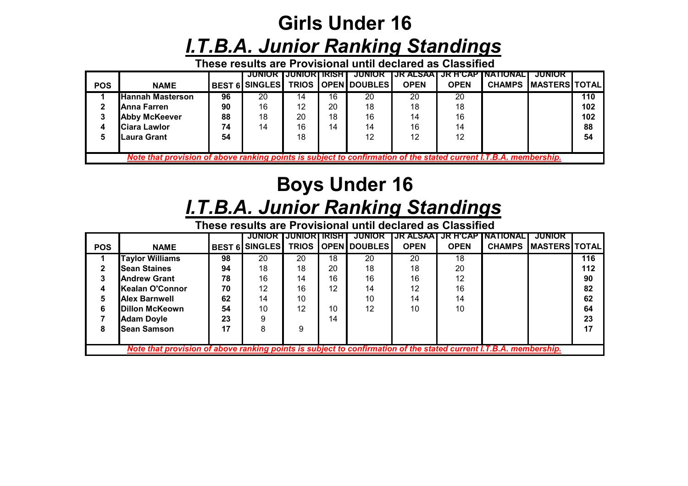## **Girls Under 16***I.T.B.A. Junior Ranking Standings*

**These results are Provisional until declared as Classified**

|            |                                                                                                                  |    | <b>JUNIOR IJUNIORI IRISH I</b> |    |    | JUNIUK                      |             |             | TJR ALSAAT JR H'CAP INATIONALT | <b>JUNIOR</b>        |     |  |
|------------|------------------------------------------------------------------------------------------------------------------|----|--------------------------------|----|----|-----------------------------|-------------|-------------|--------------------------------|----------------------|-----|--|
| <b>POS</b> | <b>NAME</b>                                                                                                      |    | <b>BEST 6 SINGLES</b>          |    |    | <b>TRIOS   OPEN DOUBLES</b> | <b>OPEN</b> | <b>OPEN</b> | <b>CHAMPS</b>                  | <b>MASTERS TOTAL</b> |     |  |
|            | <b>Hannah Masterson</b>                                                                                          | 96 | 20                             | 14 | 16 | 20                          | 20          | 20          |                                |                      | 110 |  |
|            | Anna Farren                                                                                                      | 90 | 16                             | 12 | 20 | 18                          | 18          | 18          |                                |                      | 102 |  |
|            | <b>Abby McKeever</b>                                                                                             | 88 | 18                             | 20 | 18 | 16                          | 14          | 16          |                                |                      | 102 |  |
| 4          | <b>Ciara Lawlor</b>                                                                                              | 74 | 14                             | 16 | 14 | 14                          | 16          | 14          |                                |                      | 88  |  |
|            | Laura Grant                                                                                                      | 54 |                                | 18 |    | 12                          | 12          | 12          |                                |                      | 54  |  |
|            |                                                                                                                  |    |                                |    |    |                             |             |             |                                |                      |     |  |
|            | Note that provision of above ranking points is subject to confirmation of the stated current I.T.B.A. membership |    |                                |    |    |                             |             |             |                                |                      |     |  |

## **Boys Under 16***I.T.B.A. Junior Ranking Standings*

**These results are Provisional until declared as Classified**

|                                                                                                                   |                        |    | JUNIOR                | IJUNIOKI | IRISH I           | <b>JUNIOR</b>              | JR ALSAAI   | <b>JR HUAP</b> | <b>INATIONAL</b> | <b>JUNIOR</b>         |     |
|-------------------------------------------------------------------------------------------------------------------|------------------------|----|-----------------------|----------|-------------------|----------------------------|-------------|----------------|------------------|-----------------------|-----|
| <b>POS</b>                                                                                                        | <b>NAME</b>            |    | <b>BEST 6 SINGLES</b> |          |                   | <b>TRIOS COPEN DOUBLES</b> | <b>OPEN</b> | <b>OPEN</b>    | <b>CHAMPS</b>    | <b>IMASTERSITOTAL</b> |     |
|                                                                                                                   | <b>Taylor Williams</b> | 98 | 20                    | 20       | 18                | 20                         | 20          | 18             |                  |                       | 116 |
|                                                                                                                   | <b>Sean Staines</b>    | 94 | 18                    | 18       | 20                | 18                         | 18          | 20             |                  |                       | 112 |
|                                                                                                                   | <b>Andrew Grant</b>    | 78 | 16                    | 14       | 16                | 16                         | 16          | 12             |                  |                       | 90  |
|                                                                                                                   | Kealan O'Connor        | 70 | 12                    | 16       | $12 \overline{ }$ | 14                         | 12          | 16             |                  |                       | 82  |
| 5                                                                                                                 | <b>Alex Barnwell</b>   | 62 | 14                    | 10       |                   | 10                         | 14          | 14             |                  |                       | 62  |
| 6                                                                                                                 | Dillon McKeown         | 54 | 10                    | 12       | 10                | 12                         | 10          | 10             |                  |                       | 64  |
|                                                                                                                   | <b>Adam Doyle</b>      | 23 | 9                     |          | 14                |                            |             |                |                  |                       | 23  |
| 8                                                                                                                 | <b>Sean Samson</b>     | 17 | 8                     | 9        |                   |                            |             |                |                  |                       | 17  |
|                                                                                                                   |                        |    |                       |          |                   |                            |             |                |                  |                       |     |
| Note that provision of above ranking points is subject to confirmation of the stated current I.T.B.A. membership. |                        |    |                       |          |                   |                            |             |                |                  |                       |     |